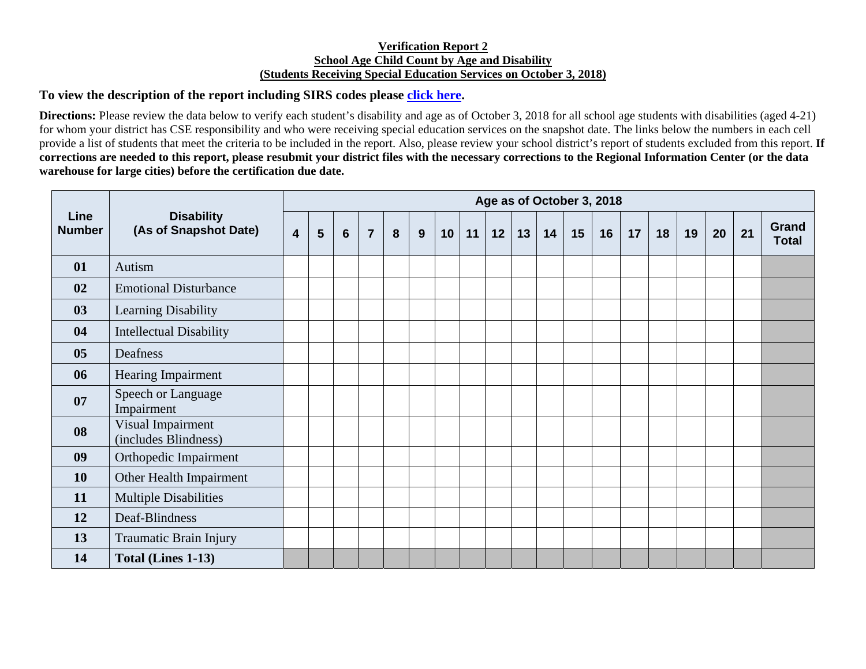## **Verification Report 2 School Age Child Count by Age and Disability (Students Receiving Special Education Services on October 3, 2018)**

## **To view the description of the report including SIRS codes please click here.**

**Directions:** Please review the data below to verify each student's disability and age as of October 3, 2018 for all school age students with disabilities (aged 4-21) for whom your district has CSE responsibility and who were receiving special education services on the snapshot date. The links below the numbers in each cell provide a list of students that meet the criteria to be included in the report. Also, please review your school district's report of students excluded from this report. **If corrections are needed to this report, please resubmit your district files with the necessary corrections to the Regional Information Center (or the data warehouse for large cities) before the certification due date.** 

| <b>Line</b><br><b>Number</b> | <b>Disability</b><br>(As of Snapshot Date) | Age as of October 3, 2018 |   |                 |                |   |   |    |    |    |    |    |    |    |    |    |    |    |    |                       |
|------------------------------|--------------------------------------------|---------------------------|---|-----------------|----------------|---|---|----|----|----|----|----|----|----|----|----|----|----|----|-----------------------|
|                              |                                            | $\overline{\mathbf{4}}$   | 5 | $6\phantom{1}6$ | $\overline{7}$ | 8 | 9 | 10 | 11 | 12 | 13 | 14 | 15 | 16 | 17 | 18 | 19 | 20 | 21 | Grand<br><b>Total</b> |
| 01                           | Autism                                     |                           |   |                 |                |   |   |    |    |    |    |    |    |    |    |    |    |    |    |                       |
| 02                           | <b>Emotional Disturbance</b>               |                           |   |                 |                |   |   |    |    |    |    |    |    |    |    |    |    |    |    |                       |
| 03                           | Learning Disability                        |                           |   |                 |                |   |   |    |    |    |    |    |    |    |    |    |    |    |    |                       |
| 04                           | <b>Intellectual Disability</b>             |                           |   |                 |                |   |   |    |    |    |    |    |    |    |    |    |    |    |    |                       |
| 05                           | Deafness                                   |                           |   |                 |                |   |   |    |    |    |    |    |    |    |    |    |    |    |    |                       |
| 06                           | Hearing Impairment                         |                           |   |                 |                |   |   |    |    |    |    |    |    |    |    |    |    |    |    |                       |
| 07                           | Speech or Language<br>Impairment           |                           |   |                 |                |   |   |    |    |    |    |    |    |    |    |    |    |    |    |                       |
| 08                           | Visual Impairment<br>(includes Blindness)  |                           |   |                 |                |   |   |    |    |    |    |    |    |    |    |    |    |    |    |                       |
| 09                           | Orthopedic Impairment                      |                           |   |                 |                |   |   |    |    |    |    |    |    |    |    |    |    |    |    |                       |
| <b>10</b>                    | Other Health Impairment                    |                           |   |                 |                |   |   |    |    |    |    |    |    |    |    |    |    |    |    |                       |
| 11                           | <b>Multiple Disabilities</b>               |                           |   |                 |                |   |   |    |    |    |    |    |    |    |    |    |    |    |    |                       |
| 12                           | Deaf-Blindness                             |                           |   |                 |                |   |   |    |    |    |    |    |    |    |    |    |    |    |    |                       |
| 13                           | Traumatic Brain Injury                     |                           |   |                 |                |   |   |    |    |    |    |    |    |    |    |    |    |    |    |                       |
| 14                           | Total (Lines 1-13)                         |                           |   |                 |                |   |   |    |    |    |    |    |    |    |    |    |    |    |    |                       |